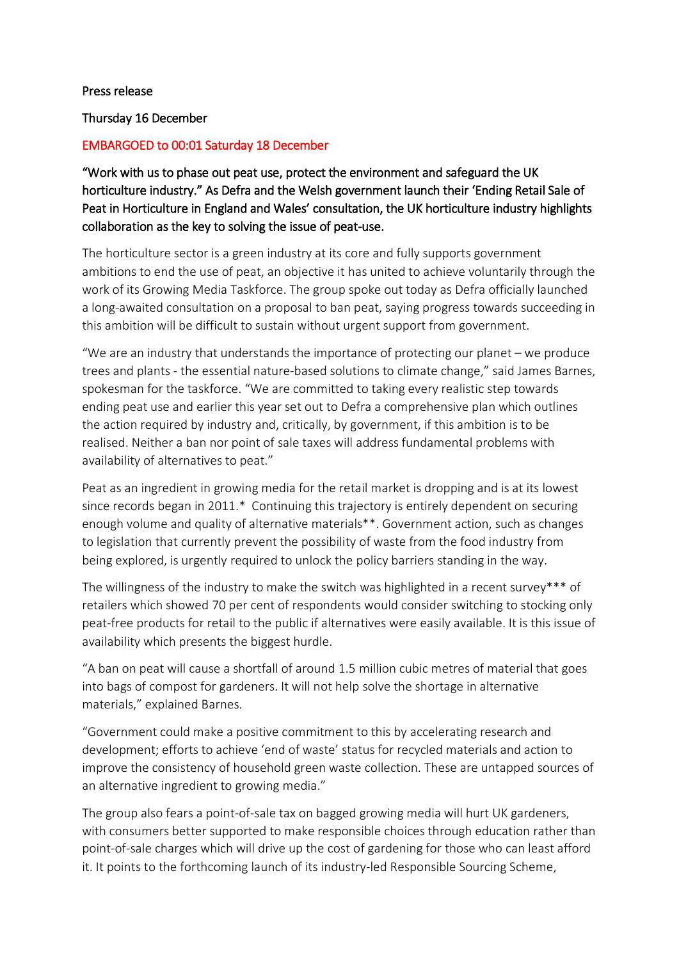## Press release

Thursday 16 December

## EMBARGOED to 00:01 Saturday 18 December

"Work with us to phase out peat use, protect the environment and safeguard the UK horticulture industry." As Defra and the Welsh government launch their 'Ending Retail Sale of Peat in Horticulture in England and Wales' consultation, the UK horticulture industry highlights collaboration as the key to solving the issue of peat-use.

The horticulture sector is a green industry at its core and fully supports government ambitions to end the use of peat, an objective it has united to achieve voluntarily through the work of its Growing Media Taskforce. The group spoke out today as Defra officially launched a long-awaited consultation on a proposal to ban peat, saying progress towards succeeding in this ambition will be difficult to sustain without urgent support from government.

"We are an industry that understands the importance of protecting our planet – we produce trees and plants - the essential nature-based solutions to climate change," said James Barnes, spokesman for the taskforce. "We are committed to taking every realistic step towards ending peat use and earlier this year set out to Defra a comprehensive plan which outlines the action required by industry and, critically, by government, if this ambition is to be realised. Neither a ban nor point of sale taxes will address fundamental problems with availability of alternatives to peat."

Peat as an ingredient in growing media for the retail market is dropping and is at its lowest since records began in 2011.\* Continuing this trajectory is entirely dependent on securing enough volume and quality of alternative materials\*\*. Government action, such as changes to legislation that currently prevent the possibility of waste from the food industry from being explored, is urgently required to unlock the policy barriers standing in the way.

The willingness of the industry to make the switch was highlighted in a recent survey\*\*\* of retailers which showed 70 per cent of respondents would consider switching to stocking only peat-free products for retail to the public if alternatives were easily available. It is this issue of availability which presents the biggest hurdle.

"A ban on peat will cause a shortfall of around 1.5 million cubic metres of material that goes into bags of compost for gardeners. It will not help solve the shortage in alternative materials," explained Barnes.

"Government could make a positive commitment to this by accelerating research and development; efforts to achieve 'end of waste' status for recycled materials and action to improve the consistency of household green waste collection. These are untapped sources of an alternative ingredient to growing media."

The group also fears a point-of-sale tax on bagged growing media will hurt UK gardeners, with consumers better supported to make responsible choices through education rather than point-of-sale charges which will drive up the cost of gardening for those who can least afford it. It points to the forthcoming launch of its industry-led Responsible Sourcing Scheme,